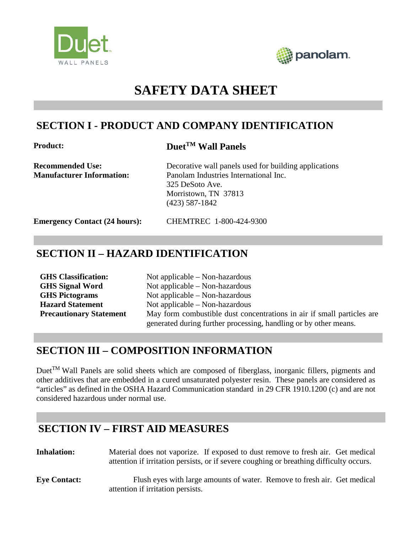



# **SAFETY DATA SHEET**

### **SECTION I - PRODUCT AND COMPANY IDENTIFICATION**

#### **Product: DuetTM Wall Panels**

**Recommended Use:** Decorative wall panels used for building applications **Manufacturer Information:** Panolam Industries International Inc. 325 DeSoto Ave. Morristown, TN 37813 (423) 587-1842

**Emergency Contact (24 hours):** CHEMTREC 1-800-424-9300

# **SECTION II – HAZARD IDENTIFICATION**

| <b>GHS</b> Classification:     | Not applicable $-$ Non-hazardous                                       |
|--------------------------------|------------------------------------------------------------------------|
| <b>GHS Signal Word</b>         | Not applicable $-$ Non-hazardous                                       |
| <b>GHS</b> Pictograms          | Not applicable $-$ Non-hazardous                                       |
| <b>Hazard Statement</b>        | Not applicable $-$ Non-hazardous                                       |
| <b>Precautionary Statement</b> | May form combustible dust concentrations in air if small particles are |
|                                | generated during further processing, handling or by other means.       |

#### **SECTION III – COMPOSITION INFORMATION**

DuetTM Wall Panels are solid sheets which are composed of fiberglass, inorganic fillers, pigments and other additives that are embedded in a cured unsaturated polyester resin. These panels are considered as "articles" as defined in the OSHA Hazard Communication standard in 29 CFR 1910.1200 (c) and are not considered hazardous under normal use.

### **SECTION IV – FIRST AID MEASURES**

Inhalation: Material does not vaporize. If exposed to dust remove to fresh air. Get medical attention if irritation persists, or if severe coughing or breathing difficulty occurs.

**Eye Contact:** Flush eyes with large amounts of water. Remove to fresh air. Get medical attention if irritation persists.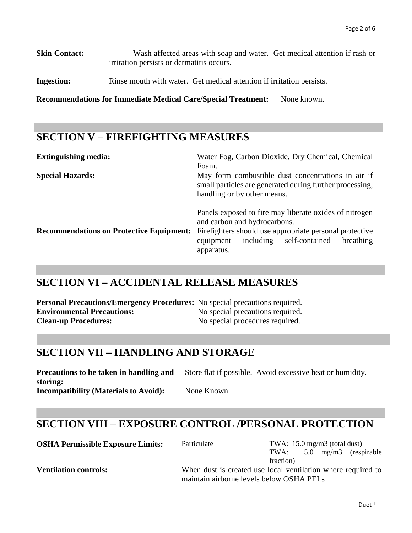**Skin Contact:** Wash affected areas with soap and water. Get medical attention if rash or irritation persists or dermatitis occurs.

**Ingestion:** Rinse mouth with water. Get medical attention if irritation persists.

**Recommendations for Immediate Medical Care/Special Treatment:** None known.

### **SECTION V – FIREFIGHTING MEASURES**

| <b>Extinguishing media:</b>                     | Water Fog, Carbon Dioxide, Dry Chemical, Chemical<br>Foam.                                                                                                                                                               |  |  |  |  |
|-------------------------------------------------|--------------------------------------------------------------------------------------------------------------------------------------------------------------------------------------------------------------------------|--|--|--|--|
| <b>Special Hazards:</b>                         | May form combustible dust concentrations in air if<br>small particles are generated during further processing,<br>handling or by other means.                                                                            |  |  |  |  |
| <b>Recommendations on Protective Equipment:</b> | Panels exposed to fire may liberate oxides of nitrogen<br>and carbon and hydrocarbons.<br>Firefighters should use appropriate personal protective<br>self-contained<br>including<br>breathing<br>equipment<br>apparatus. |  |  |  |  |

### **SECTION VI – ACCIDENTAL RELEASE MEASURES**

**Personal Precautions/Emergency Procedures:** No special precautions required. **Environmental Precautions:** No special precautions required. **Clean-up Procedures:** No special procedures required.

### **SECTION VII – HANDLING AND STORAGE**

**Precautions to be taken in handling and storing:** Store flat if possible. Avoid excessive heat or humidity. **Incompatibility (Materials to Avoid):** None Known

#### **SECTION VIII – EXPOSURE CONTROL /PERSONAL PROTECTION**

| <b>OSHA Permissible Exposure Limits:</b> | TWA: $15.0 \text{ mg/m}$ 3 (total dust)<br>Particulate       |           |  |  |                       |
|------------------------------------------|--------------------------------------------------------------|-----------|--|--|-----------------------|
|                                          |                                                              | TWA:      |  |  | 5.0 mg/m3 (respirable |
|                                          |                                                              | fraction) |  |  |                       |
| Vontilation controler                    | When duct is exected use local ventilation where required to |           |  |  |                       |

**Ventilation controls:** When dust is created use local ventilation where required to maintain airborne levels below OSHA PELs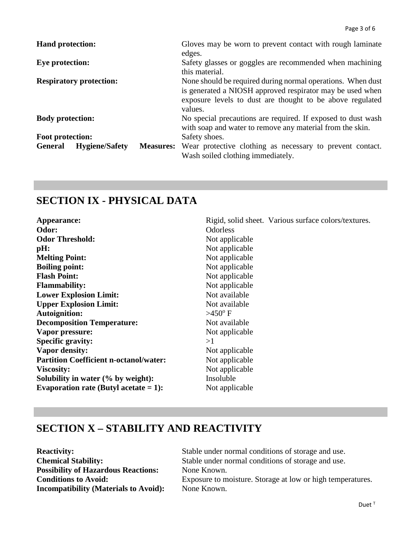| <b>Hand protection:</b>                                     | Gloves may be worn to prevent contact with rough laminate<br>edges.                                                                                                                              |
|-------------------------------------------------------------|--------------------------------------------------------------------------------------------------------------------------------------------------------------------------------------------------|
| <b>Eye protection:</b>                                      | Safety glasses or goggles are recommended when machining<br>this material.                                                                                                                       |
| <b>Respiratory protection:</b>                              | None should be required during normal operations. When dust<br>is generated a NIOSH approved respirator may be used when<br>exposure levels to dust are thought to be above regulated<br>values. |
| <b>Body protection:</b>                                     | No special precautions are required. If exposed to dust wash<br>with soap and water to remove any material from the skin.                                                                        |
| Foot protection:                                            | Safety shoes.                                                                                                                                                                                    |
| <b>General</b><br><b>Hygiene/Safety</b><br><b>Measures:</b> | Wear protective clothing as necessary to prevent contact.<br>Wash soiled clothing immediately.                                                                                                   |

### **SECTION IX - PHYSICAL DATA**

| Appearance:<br>Odor:                          | Rigid, solid sheet. Various surface colors/textures.<br><b>Odorless</b> |
|-----------------------------------------------|-------------------------------------------------------------------------|
| <b>Odor Threshold:</b>                        | Not applicable                                                          |
| pH:                                           | Not applicable                                                          |
| <b>Melting Point:</b>                         | Not applicable                                                          |
| <b>Boiling point:</b>                         | Not applicable                                                          |
| <b>Flash Point:</b>                           | Not applicable                                                          |
| <b>Flammability:</b>                          | Not applicable                                                          |
| <b>Lower Explosion Limit:</b>                 | Not available                                                           |
| <b>Upper Explosion Limit:</b>                 | Not available                                                           |
| <b>Autoignition:</b>                          | $>450^{\circ}$ F                                                        |
| <b>Decomposition Temperature:</b>             | Not available                                                           |
| Vapor pressure:                               | Not applicable                                                          |
| <b>Specific gravity:</b>                      | >1                                                                      |
| Vapor density:                                | Not applicable                                                          |
| <b>Partition Coefficient n-octanol/water:</b> | Not applicable                                                          |
| <b>Viscosity:</b>                             | Not applicable                                                          |
| Solubility in water (% by weight):            | Insoluble                                                               |
| Evaporation rate (Butyl acetate $= 1$ ):      | Not applicable                                                          |

# **SECTION X – STABILITY AND REACTIVITY**

**Possibility of Hazardous Reactions:** None Known.<br> **Conditions to Avoid:** Exposure to m **Incompatibility (Materials to Avoid):** None Known.

**Reactivity:** Stable under normal conditions of storage and use.<br> **Chemical Stability:** Stable under normal conditions of storage and use. Stable under normal conditions of storage and use.

Exposure to moisture. Storage at low or high temperatures.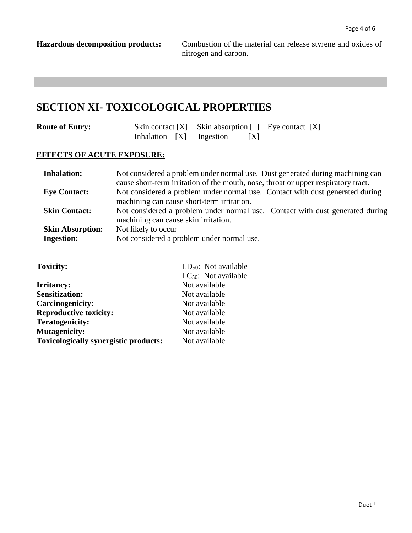**Hazardous decomposition products:** Combustion of the material can release styrene and oxides of nitrogen and carbon.

#### **SECTION XI- TOXICOLOGICAL PROPERTIES**

| <b>Route of Entry:</b> |  |  | Skin contact $[X]$ Skin absorption $[ ]$ Eye contact $[X]$ |   |  |  |
|------------------------|--|--|------------------------------------------------------------|---|--|--|
|                        |  |  | Inhalation [X] Ingestion                                   | X |  |  |

#### **EFFECTS OF ACUTE EXPOSURE:**

| <b>Inhalation:</b>      | Not considered a problem under normal use. Dust generated during machining can                                              |
|-------------------------|-----------------------------------------------------------------------------------------------------------------------------|
|                         | cause short-term irritation of the mouth, nose, throat or upper respiratory tract.                                          |
| <b>Eye Contact:</b>     | Not considered a problem under normal use. Contact with dust generated during<br>machining can cause short-term irritation. |
|                         |                                                                                                                             |
| <b>Skin Contact:</b>    | Not considered a problem under normal use. Contact with dust generated during<br>machining can cause skin irritation.       |
| <b>Skin Absorption:</b> | Not likely to occur                                                                                                         |
| <b>Ingestion:</b>       | Not considered a problem under normal use.                                                                                  |

| <b>Toxicity:</b>                             | $LD_{50}$ : Not available |
|----------------------------------------------|---------------------------|
|                                              | $LC_{50}$ : Not available |
| <b>Irritancy:</b>                            | Not available             |
| <b>Sensitization:</b>                        | Not available             |
| Carcinogenicity:                             | Not available             |
| <b>Reproductive toxicity:</b>                | Not available             |
| <b>Teratogenicity:</b>                       | Not available             |
| <b>Mutagenicity:</b>                         | Not available             |
| <b>Toxicologically synergistic products:</b> | Not available             |
|                                              |                           |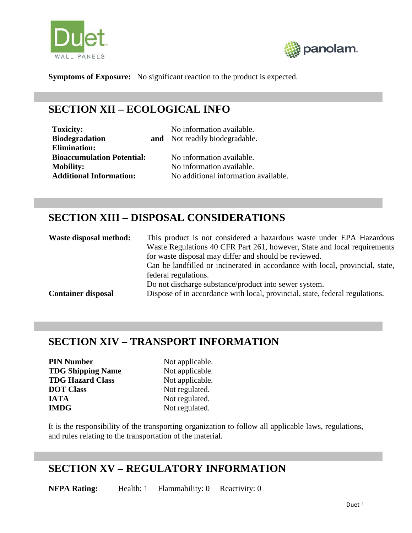



**Symptoms of Exposure:** No significant reaction to the product is expected.

# **SECTION XII – ECOLOGICAL INFO**

| <b>Toxicity:</b>                  | No information available.            |
|-----------------------------------|--------------------------------------|
| <b>Biodegradation</b>             | and Not readily biodegradable.       |
| <b>Elimination:</b>               |                                      |
| <b>Bioaccumulation Potential:</b> | No information available.            |
| <b>Mobility:</b>                  | No information available.            |
| <b>Additional Information:</b>    | No additional information available. |

## **SECTION XIII – DISPOSAL CONSIDERATIONS**

| Waste disposal method:    | This product is not considered a hazardous waste under EPA Hazardous          |
|---------------------------|-------------------------------------------------------------------------------|
|                           | Waste Regulations 40 CFR Part 261, however, State and local requirements      |
|                           | for waste disposal may differ and should be reviewed.                         |
|                           | Can be landfilled or incinerated in accordance with local, provincial, state, |
|                           | federal regulations.                                                          |
|                           | Do not discharge substance/product into sewer system.                         |
| <b>Container disposal</b> | Dispose of in accordance with local, provincial, state, federal regulations.  |

### **SECTION XIV – TRANSPORT INFORMATION**

| <b>PIN Number</b>        |
|--------------------------|
| <b>TDG Shipping Name</b> |
| <b>TDG Hazard Class</b>  |
| <b>DOT</b> Class         |
| <b>IATA</b>              |
| <b>IMDG</b>              |

Not applicable. Not applicable. Not applicable. Not regulated. Not regulated. Not regulated.

It is the responsibility of the transporting organization to follow all applicable laws, regulations, and rules relating to the transportation of the material.

#### **SECTION XV – REGULATORY INFORMATION**

**NFPA Rating:** Health: 1 Flammability: 0 Reactivity: 0